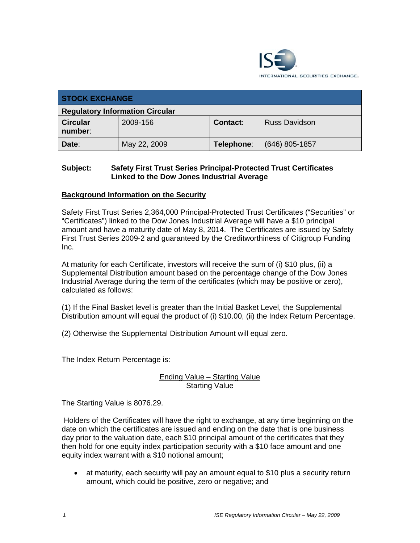

| <b>STOCK EXCHANGE</b>                  |              |            |                      |
|----------------------------------------|--------------|------------|----------------------|
| <b>Regulatory Information Circular</b> |              |            |                      |
| <b>Circular</b><br>number:             | 2009-156     | Contact:   | <b>Russ Davidson</b> |
| Date:                                  | May 22, 2009 | Telephone: | (646) 805-1857       |

### **Subject: Safety First Trust Series Principal-Protected Trust Certificates Linked to the Dow Jones Industrial Average**

#### **Background Information on the Security**

Safety First Trust Series 2,364,000 Principal-Protected Trust Certificates ("Securities" or "Certificates") linked to the Dow Jones Industrial Average will have a \$10 principal amount and have a maturity date of May 8, 2014. The Certificates are issued by Safety First Trust Series 2009-2 and guaranteed by the Creditworthiness of Citigroup Funding Inc.

At maturity for each Certificate, investors will receive the sum of (i) \$10 plus, (ii) a Supplemental Distribution amount based on the percentage change of the Dow Jones Industrial Average during the term of the certificates (which may be positive or zero), calculated as follows:

(1) If the Final Basket level is greater than the Initial Basket Level, the Supplemental Distribution amount will equal the product of (i) \$10.00, (ii) the Index Return Percentage.

(2) Otherwise the Supplemental Distribution Amount will equal zero.

The Index Return Percentage is:

#### Ending Value – Starting Value Starting Value

The Starting Value is 8076.29.

 Holders of the Certificates will have the right to exchange, at any time beginning on the date on which the certificates are issued and ending on the date that is one business day prior to the valuation date, each \$10 principal amount of the certificates that they then hold for one equity index participation security with a \$10 face amount and one equity index warrant with a \$10 notional amount;

• at maturity, each security will pay an amount equal to \$10 plus a security return amount, which could be positive, zero or negative; and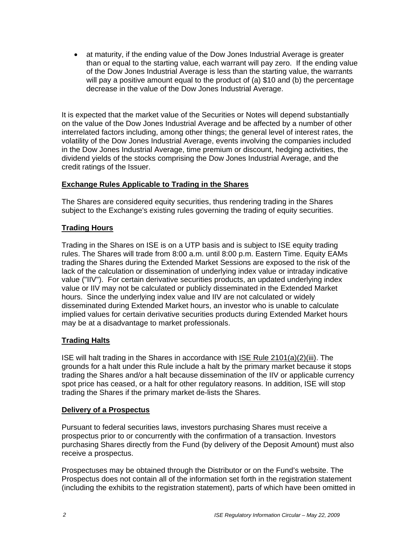• at maturity, if the ending value of the Dow Jones Industrial Average is greater than or equal to the starting value, each warrant will pay zero. If the ending value of the Dow Jones Industrial Average is less than the starting value, the warrants will pay a positive amount equal to the product of (a) \$10 and (b) the percentage decrease in the value of the Dow Jones Industrial Average.

It is expected that the market value of the Securities or Notes will depend substantially on the value of the Dow Jones Industrial Average and be affected by a number of other interrelated factors including, among other things; the general level of interest rates, the volatility of the Dow Jones Industrial Average, events involving the companies included in the Dow Jones Industrial Average, time premium or discount, hedging activities, the dividend yields of the stocks comprising the Dow Jones Industrial Average, and the credit ratings of the Issuer.

## **Exchange Rules Applicable to Trading in the Shares**

The Shares are considered equity securities, thus rendering trading in the Shares subject to the Exchange's existing rules governing the trading of equity securities.

# **Trading Hours**

Trading in the Shares on ISE is on a UTP basis and is subject to ISE equity trading rules. The Shares will trade from 8:00 a.m. until 8:00 p.m. Eastern Time. Equity EAMs trading the Shares during the Extended Market Sessions are exposed to the risk of the lack of the calculation or dissemination of underlying index value or intraday indicative value ("IIV"). For certain derivative securities products, an updated underlying index value or IIV may not be calculated or publicly disseminated in the Extended Market hours. Since the underlying index value and IIV are not calculated or widely disseminated during Extended Market hours, an investor who is unable to calculate implied values for certain derivative securities products during Extended Market hours may be at a disadvantage to market professionals.

#### **Trading Halts**

ISE will halt trading in the Shares in accordance with ISE Rule 2101(a)(2)(iii). The grounds for a halt under this Rule include a halt by the primary market because it stops trading the Shares and/or a halt because dissemination of the IIV or applicable currency spot price has ceased, or a halt for other regulatory reasons. In addition, ISE will stop trading the Shares if the primary market de-lists the Shares.

#### **Delivery of a Prospectus**

Pursuant to federal securities laws, investors purchasing Shares must receive a prospectus prior to or concurrently with the confirmation of a transaction. Investors purchasing Shares directly from the Fund (by delivery of the Deposit Amount) must also receive a prospectus.

Prospectuses may be obtained through the Distributor or on the Fund's website. The Prospectus does not contain all of the information set forth in the registration statement (including the exhibits to the registration statement), parts of which have been omitted in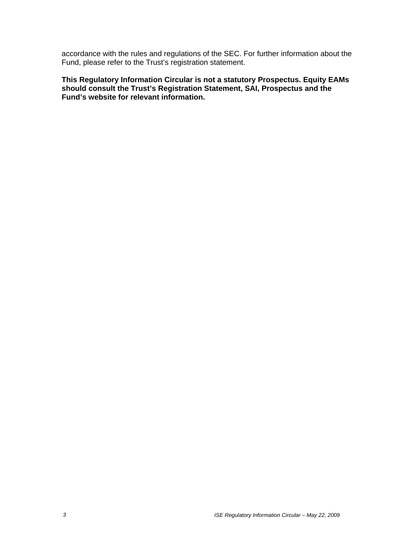accordance with the rules and regulations of the SEC. For further information about the Fund, please refer to the Trust's registration statement.

**This Regulatory Information Circular is not a statutory Prospectus. Equity EAMs should consult the Trust's Registration Statement, SAI, Prospectus and the Fund's website for relevant information.**